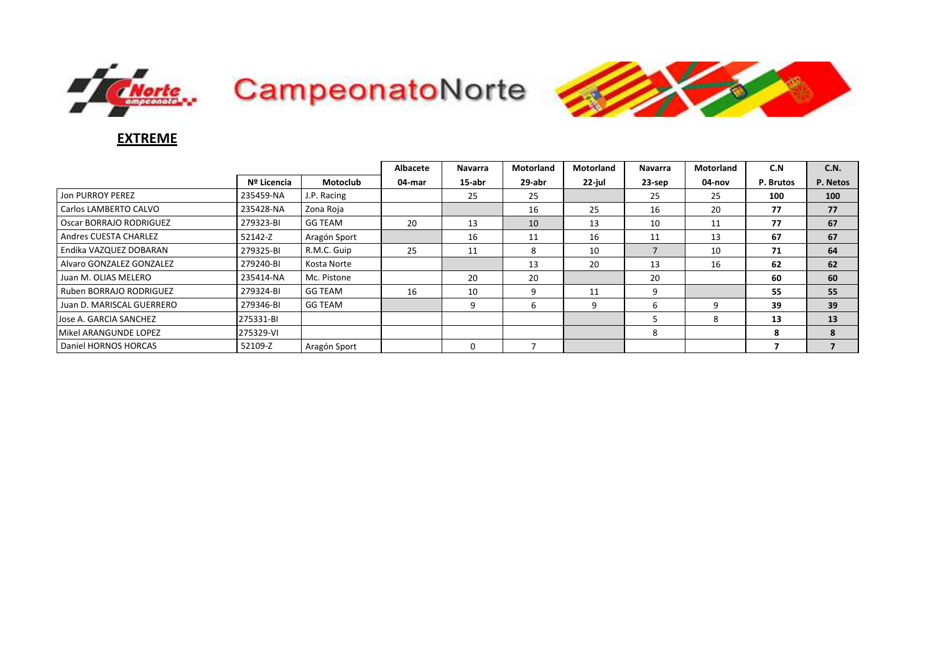





## EXTREME

|                           |             |                | Albacete | <b>Navarra</b> | <b>Motorland</b> | <b>Motorland</b> | <b>Navarra</b> | <b>Motorland</b> | C.N       | C.N.     |
|---------------------------|-------------|----------------|----------|----------------|------------------|------------------|----------------|------------------|-----------|----------|
|                           | Nº Licencia | Motoclub       | 04-mar   | 15-abr         | 29-abr           | 22-jul           | 23-sep         | 04-nov           | P. Brutos | P. Netos |
| Jon PURROY PEREZ          | 235459-NA   | J.P. Racing    |          | 25             | 25               |                  | 25             | 25               | 100       | 100      |
| Carlos LAMBERTO CALVO     | 235428-NA   | Zona Roja      |          |                | 16               | 25               | 16             | 20               | 77        | 77       |
| Oscar BORRAJO RODRIGUEZ   | 279323-BI   | <b>GG TEAM</b> | 20       | 13             | 10               | 13               | 10             | 11               | 77        | 67       |
| Andres CUESTA CHARLEZ     | 52142-Z     | Aragón Sport   |          | 16             | 11               | 16               | 11             | 13               | 67        | 67       |
| Endika VAZQUEZ DOBARAN    | 279325-BI   | R.M.C. Guip    | 25       | 11             | 8                | 10               |                | 10               | 71        | 64       |
| Alvaro GONZALEZ GONZALEZ  | 279240-BI   | Kosta Norte    |          |                | 13               | 20               | 13             | 16               | 62        | 62       |
| Juan M. OLIAS MELERO      | 235414-NA   | Mc. Pistone    |          | 20             | 20               |                  | 20             |                  | 60        | 60       |
| Ruben BORRAJO RODRIGUEZ   | 279324-BI   | <b>GG TEAM</b> | 16       | 10             | 9                | 11               | 9              |                  | 55        | 55       |
| Juan D. MARISCAL GUERRERO | 279346-BI   | <b>GG TEAM</b> |          |                | 6                | 9                | h              | 9                | 39        | 39       |
| Jose A. GARCIA SANCHEZ    | 275331-BI   |                |          |                |                  |                  |                | 8                | 13        | 13       |
| Mikel ARANGUNDE LOPEZ     | 275329-VI   |                |          |                |                  |                  | 8              |                  | 8         | 8        |
| Daniel HORNOS HORCAS      | 52109-Z     | Aragón Sport   |          | $\Omega$       |                  |                  |                |                  |           |          |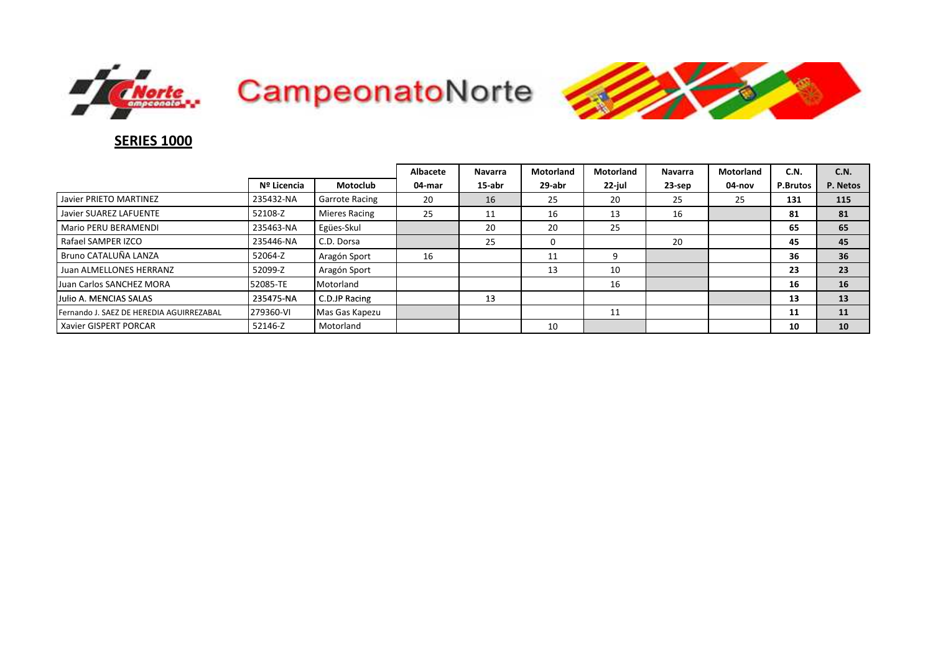





## **SERIES 1000**

|                                          |             |                       | <b>Albacete</b> | <b>Navarra</b> | <b>Motorland</b> | <b>Motorland</b> | <b>Navarra</b> | Motorland | C.N.     | C.N.     |
|------------------------------------------|-------------|-----------------------|-----------------|----------------|------------------|------------------|----------------|-----------|----------|----------|
|                                          | Nº Licencia | Motoclub              | 04-mar          | 15-abr         | 29-abr           | 22-jul           | $23$ -sep      | 04-nov    | P.Brutos | P. Netos |
| Javier PRIETO MARTINEZ                   | 235432-NA   | <b>Garrote Racing</b> | 20              | 16             | 25               | 20               | 25             | 25        | 131      | 115      |
| Javier SUAREZ LAFUENTE                   | 52108-Z     | <b>Mieres Racing</b>  | 25              | 11             | 16               | 13               | 16             |           | 81       | 81       |
| Mario PERU BERAMENDI                     | 235463-NA   | Egües-Skul            |                 | 20             | 20               | 25               |                |           | 65       | 65       |
| Rafael SAMPER IZCO                       | 235446-NA   | C.D. Dorsa            |                 | 25             | 0                |                  | 20             |           | 45       | 45       |
| Bruno CATALUÑA LANZA                     | 52064-Z     | Aragón Sport          | 16              |                | 11               | ٩                |                |           | 36       | 36       |
| Juan ALMELLONES HERRANZ                  | 52099-Z     | Aragón Sport          |                 |                | 13               | 10               |                |           | 23       | 23       |
| Juan Carlos SANCHEZ MORA                 | 52085-TE    | Motorland             |                 |                |                  | 16               |                |           | 16       | 16       |
| Julio A. MENCIAS SALAS                   | 235475-NA   | C.D.JP Racing         |                 | 13             |                  |                  |                |           | 13       | 13       |
| Fernando J. SAEZ DE HEREDIA AGUIRREZABAL | 279360-VI   | Mas Gas Kapezu        |                 |                |                  | 11               |                |           | 11       | 11       |
| <b>Xavier GISPERT PORCAR</b>             | 52146-Z     | Motorland             |                 |                | 10               |                  |                |           | 10       | 10       |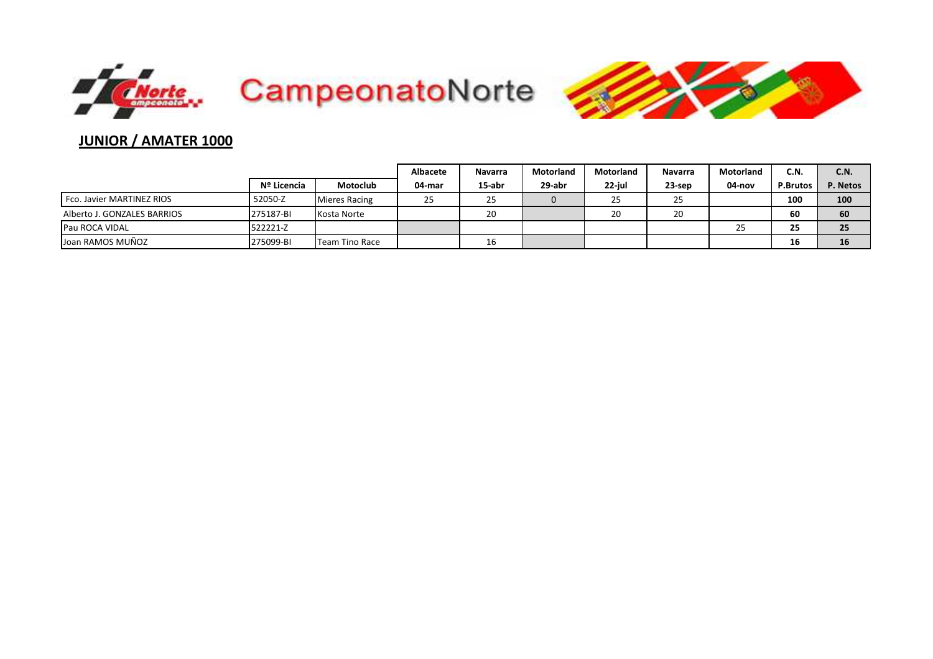



# JUNIOR / AMATER 1000

|                             |             |                | <b>Albacete</b> | <b>Navarra</b> | Motorland | Motorland | <b>Navarra</b> | Motorland           | C.N.            | <b>C.N.</b> |
|-----------------------------|-------------|----------------|-----------------|----------------|-----------|-----------|----------------|---------------------|-----------------|-------------|
|                             | Nº Licencia | Motoclub       | 04-mar          | 15-abr         | 29-abr    | 22-jul    | 23-sep         | 04-nov              | <b>P.Brutos</b> | P. Netos    |
| Fco. Javier MARTINEZ RIOS   | 52050-Z     | Mieres Racing  | 25              | 25             |           | 25        | 25             |                     | 100             | 100         |
| Alberto J. GONZALES BARRIOS | 275187-BI   | Kosta Norte    |                 | 20             |           | 20        | 20             |                     | 60              | 60          |
| Pau ROCA VIDAL              | 522221-Z    |                |                 |                |           |           |                | $\sim$ $\sim$<br>25 | 25              | 25          |
| Joan RAMOS MUÑOZ            | 275099-BI   | Team Tino Race |                 | 16             |           |           |                |                     | 16              | 16          |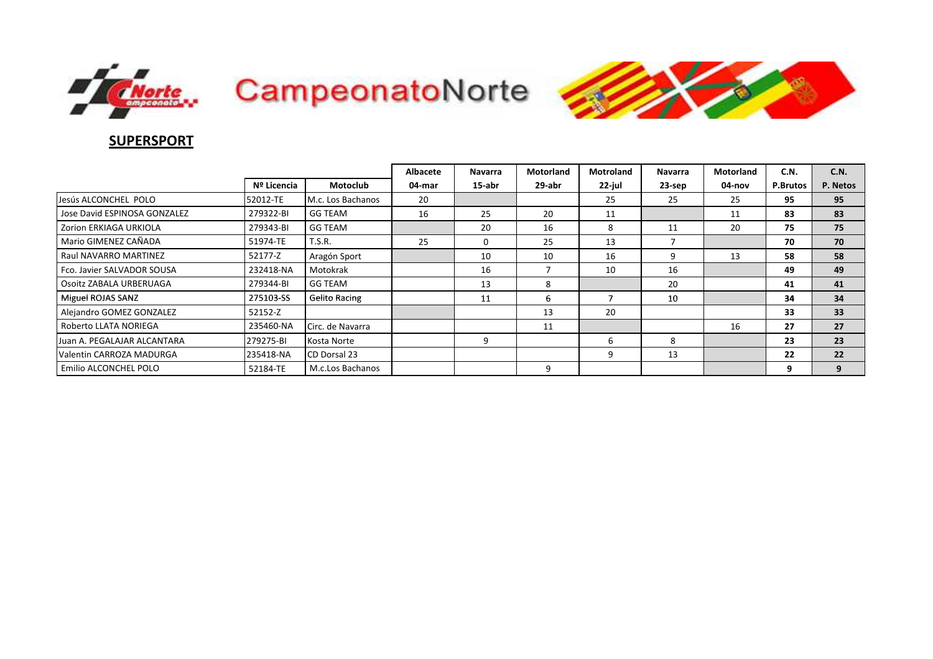





## **SUPERSPORT**

|                              |             |                      | Albacete | <b>Navarra</b> | <b>Motorland</b> | <b>Motroland</b> | <b>Navarra</b> | <b>Motorland</b> | C.N.            | C.N.     |
|------------------------------|-------------|----------------------|----------|----------------|------------------|------------------|----------------|------------------|-----------------|----------|
|                              | Nº Licencia | <b>Motoclub</b>      | 04-mar   | $15$ -abr      | 29-abr           | 22-jul           | 23-sep         | 04-nov           | <b>P.Brutos</b> | P. Netos |
| Jesús ALCONCHEL POLO         | 52012-TE    | M.c. Los Bachanos    | 20       |                |                  | 25               | 25             | 25               | 95              | 95       |
| Jose David ESPINOSA GONZALEZ | 279322-BI   | GG TEAM              | 16       | 25             | 20               | 11               |                | 11               | 83              | 83       |
| Zorion ERKIAGA URKIOLA       | 279343-BI   | GG TEAM              |          | 20             | 16               | 8                | 11             | 20               | 75              | 75       |
| Mario GIMENEZ CAÑADA         | 51974-TE    | T.S.R.               | 25       | 0              | 25               | 13               |                |                  | 70              | 70       |
| Raul NAVARRO MARTINEZ        | 52177-Z     | Aragón Sport         |          | 10             | 10               | 16               | 9              | 13               | 58              | 58       |
| Fco. Javier SALVADOR SOUSA   | 232418-NA   | Motokrak             |          | 16             | ⇁                | 10               | 16             |                  | 49              | 49       |
| Osoitz ZABALA URBERUAGA      | 279344-BI   | <b>GG TEAM</b>       |          | 13             | 8                |                  | 20             |                  | 41              | 41       |
| Miguel ROJAS SANZ            | 275103-SS   | <b>Gelito Racing</b> |          | 11             | 6                |                  | 10             |                  | 34              | 34       |
| Alejandro GOMEZ GONZALEZ     | 52152-Z     |                      |          |                | 13               | 20               |                |                  | 33              | 33       |
| Roberto LLATA NORIEGA        | 235460-NA   | Circ. de Navarra     |          |                | 11               |                  |                | 16               | 27              | 27       |
| Juan A. PEGALAJAR ALCANTARA  | 279275-BI   | Kosta Norte          |          | 9              |                  | b                | 8              |                  | 23              | 23       |
| Valentin CARROZA MADURGA     | 235418-NA   | CD Dorsal 23         |          |                |                  | 9                | 13             |                  | 22              | 22       |
| Emilio ALCONCHEL POLO        | 52184-TE    | M.c.Los Bachanos     |          |                | 9                |                  |                |                  | 9               | 9        |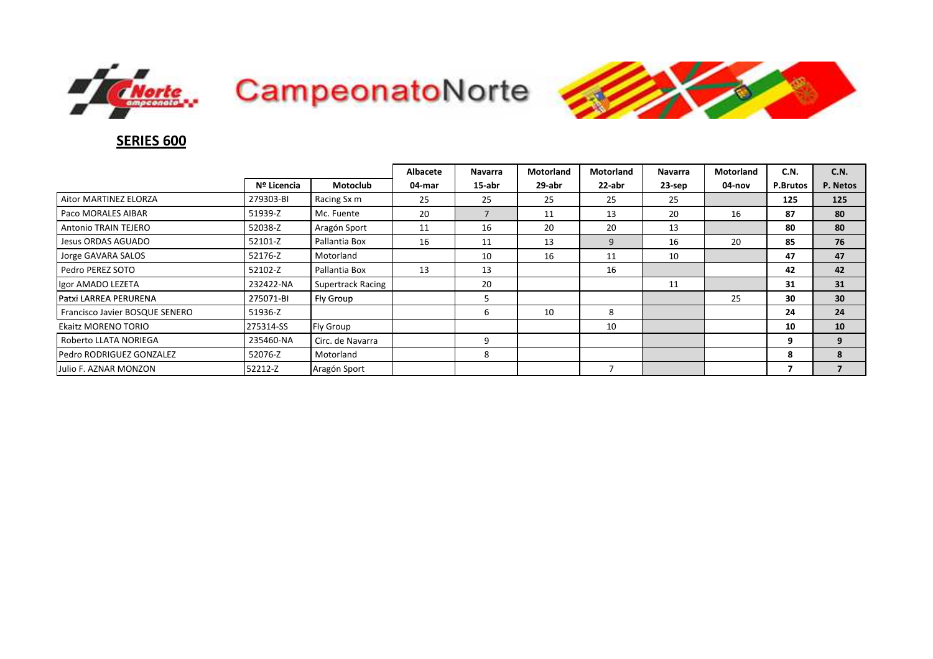





## **SERIES 600**

|                                |             |                          | Albacete | <b>Navarra</b> | <b>Motorland</b> | <b>Motorland</b> | <b>Navarra</b> | Motorland | C.N.     | C.N.            |
|--------------------------------|-------------|--------------------------|----------|----------------|------------------|------------------|----------------|-----------|----------|-----------------|
|                                | Nº Licencia | <b>Motoclub</b>          | 04-mar   | 15-abr         | 29-abr           | 22-abr           | 23-sep         | 04-nov    | P.Brutos | P. Netos        |
| Aitor MARTINEZ ELORZA          | 279303-BI   | Racing Sx m              | 25       | 25             | 25               | 25               | 25             |           | 125      | 125             |
| Paco MORALES AIBAR             | 51939-Z     | Mc. Fuente               | 20       |                | 11               | 13               | 20             | 16        | 87       | 80              |
| Antonio TRAIN TEJERO           | 52038-Z     | Aragón Sport             | 11       | 16             | 20               | 20               | 13             |           | 80       | 80              |
| Jesus ORDAS AGUADO             | 52101-Z     | Pallantia Box            | 16       | 11             | 13               | 9                | 16             | 20        | 85       | 76              |
| Jorge GAVARA SALOS             | 52176-Z     | Motorland                |          | 10             | 16               | 11               | 10             |           | 47       | 47              |
| Pedro PEREZ SOTO               | 52102-Z     | Pallantia Box            | 13       | 13             |                  | 16               |                |           | 42       | 42              |
| Igor AMADO LEZETA              | 232422-NA   | <b>Supertrack Racing</b> |          | 20             |                  |                  | 11             |           | 31       | 31              |
| <b>IPatxi LARREA PERURENA</b>  | 275071-BI   | Fly Group                |          | 5              |                  |                  |                | 25        | 30       | 30 <sup>°</sup> |
| Francisco Javier BOSQUE SENERO | 51936-Z     |                          |          | ь              | 10               | 8                |                |           | 24       | 24              |
| Ekaitz MORENO TORIO            | 275314-SS   | <b>Fly Group</b>         |          |                |                  | 10               |                |           | 10       | 10              |
| Roberto LLATA NORIEGA          | 235460-NA   | Circ. de Navarra         |          | 9              |                  |                  |                |           | 9        | 9               |
| Pedro RODRIGUEZ GONZALEZ       | 52076-Z     | Motorland                |          | 8              |                  |                  |                |           | 8        | 8               |
| Julio F. AZNAR MONZON          | 52212-Z     | Aragón Sport             |          |                |                  |                  |                |           |          |                 |